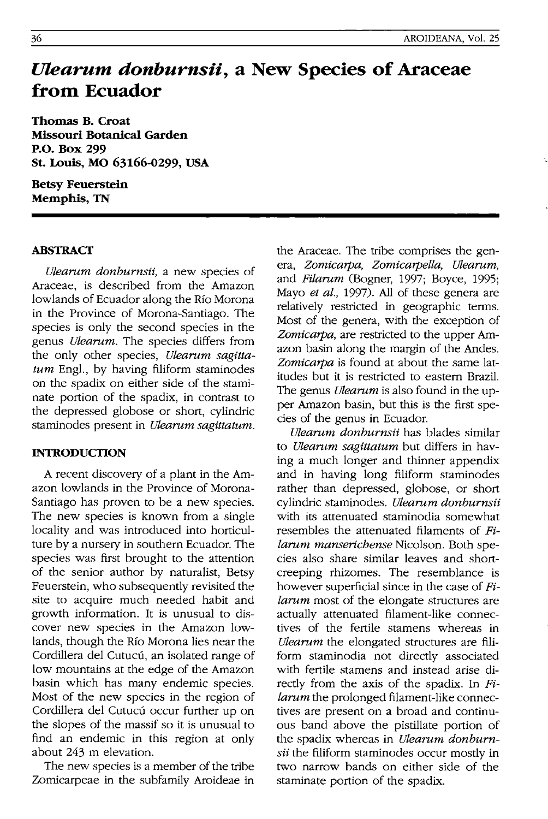# *Ulearum donburnsii,* **a New Species of Araceae from Ecuador**

Thomas B. Croat Missouri Botanical Garden P.O. Box 299 st. Louis, MO 63166-0299, USA

Betsy Feuerstein Memphis, TN

# ABSTRACT

*Ulearum donburnsii*, a new species of Araceae, is described from the Amazon lowlands of Ecuador along the RIO Morona in the Province of Morona-Santiago. The species is only the second species in the genus *Ulearum*. The species differs from the only other species, *Ulearum sagittatum* Engl., by having filiform staminodes on the spadix on either side of the staminate portion of the spadix, in contrast to the depressed globose or short, cylindric staminodes present in *Ulearum sagittatum*.

# INTRODUCTION

A recent discovery of a plant in the Amazon lowlands in the Province of Morona-Santiago has proven to be a new species. The new species is known from a single locality and was introduced into horticulture by a nursery in southern Ecuador. The species was first brought to the attention of the senior author by naturalist, Betsy Feuerstein, who subsequently revisited the site to acquire much needed habit and growth information. It is unusual to discover new species in the Amazon lowlands, though the Rio Morona lies near the Cordillera del Cutucú, an isolated range of low mountains at the edge of the Amazon basin which has many endemic species. Most of the new species in the region of Cordillera del Cutucú occur further up on the slopes of the massif so it is unusual to find an endemic in this region at only about 243 m elevation.

The new species is a member of the tribe Zomicarpeae in the subfamily Aroideae in

the Araceae. The tribe comprises the genera, *Zomicarpa, Zomicarpella, Ulearnm,*  and *Filarum* (Bogner, 1997; Boyce, 1995; Mayo *et al.,* 1997). All of these genera are relatively restricted in geographic terms. Most of the genera, with the exception of *Zomicarpa,* are restricted to the upper Amazon basin along the margin of the Andes. *Zomicarpa* is found at about the same latitudes but it is restricted to eastern Brazil. The genus *Ulearum* is also found in the upper Amazon basin, but this is the first species of the genus in Ecuador.

*Ulearnm donburnsii* has blades similar to *Ulearum sagittatum* but differs in having a much longer and thinner appendix and in having long filiform staminodes rather than depressed, globose, or short cylindric staminodes. *Ulearnm donburnsii*  with its attenuated staminodia somewhat resembles the attenuated filaments of *Pilarum manserichense* Nicolson. Both species also share similar leaves and shortcreeping rhizomes. The resemblance is however superficial since in the case of Fi*larum* most of the elongate structures are actually attenuated filament-like connectives of the fertile stamens whereas in *Ulearum* the elongated structures are filiform staminodia not directly associated with fertile stamens and instead arise directly from the axis of the spadix. In  $Fi$ *larum* the prolonged filament-like connectives are present on a broad and continuous band above the pistillate portion of the spadix whereas in *Ulearum donburnsii* the filiform staminodes occur mostly in two narrow bands on either side of the staminate portion of the spadix.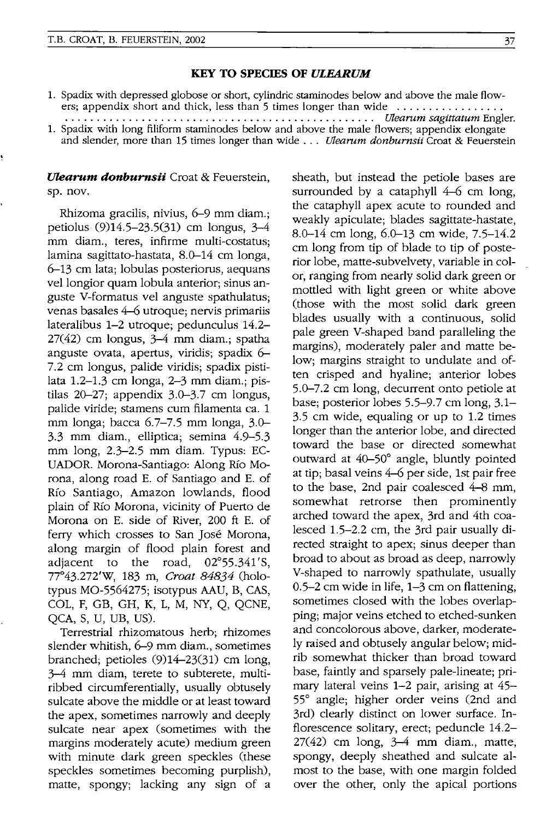#### KEY TO SPECIES OF ULEARUM

- 1. Spadix with depressed globose or short, cylindric staminodes below and above the male flowers; appendix short and thick, less than 5 times longer than wide ................ .
- . . . . . . . . . . . . . . . . . . . . . . . . . . . . . . . . . . . . . . . . . . . . . . . .. *Ulearurn sagittaturn* Engler. 1. Spadix with long filiform staminodes below and above the male flowers; appendix elongate and slender, more than 15 times longer than wide . . . *Ulearum donburnsii* Croat & Feuerstein

# *Ulearum donburnsii* Croat & Feuerstein, sp. nov.

Rhizoma gracilis, nivius, 6-9 mm diam.; petiolus (9)14.5-23.5(31) cm longus, 3-4 mm diam., teres, infirme multi-costatus; lamina sagittato-hastata, 8.0-14 cm longa, 6-13 cm lata; lobulas posteriorus, aequans vel longior quam lobula anterior; sinus anguste V-formatus vel anguste spathulatus; venas basales 4-6 utroque; nervis primariis lateralibus 1-2 utroque; pedunculus 14.2- 27(42) cm longus, 3-4 mm diam.; spatha anguste ovata, apertus, viridis; spadix 6- 7.2 cm longus, palide viridis; spadix pistilata 1.2-1.3 cm longa, 2-3 mm diam.; pistilas 20-27; appendix 3.0-3.7 cm longus, palide viride; stamens cum filamenta ca. 1 mm longa; bacca 6.7-7.5 mm longa, 3.0- 3.3 mm diam., elliptica; semina 4.9-5.3 mm long, 2.3-2.5 mm diam. Typus: EC-UADOR. Morona-Santiago: Along Río Morona, along road E. of Santiago and E. of *Rio* Santiago, Amazon lowlands, flood plain of Río Morona, vicinity of Puerto de Morona on E. side of River, 200 ft E. of ferry which crosses to San Jose Morona, along margin of flood plain forest and adiacent to the road,  $02^{\circ}53.341'$ S. adiacent to the road, 77°43. 272'W, 183 m, Croat 84834 (holotypus MO-5564275; isotypus AAU, B, CAS, COL, F, GB, GH, K, L, M, NY, Q, QCNE, QCA, S, U, UB, US).

Terrestrial rhizomatous herb; rhizomes slender whitish, 6-9 mm diam., sometimes branched; petioles (9)14-23(31) cm long, 3-4 mm diam, terete to subterete, multiribbed circumferentially, usually obtusely sulcate above the middle or at least toward the apex, sometimes narrowly and deeply sulcate near apex (sometimes with the margins moderately acute) medium green with minute dark green speckles (these speckles sometimes becoming purplish), matte, spongy; lacking any sign of a sheath, but instead the petiole bases are surrounded by a cataphyll 4-6 cm long, the cataphyll apex acute to rounded and weakly apiculate; blades sagittate-hastate, 8.0-14 cm long, 6.0-13 cm wide, 7.5-14.2 cm long from tip of blade to tip of posterior lobe, matte-subvelvety, variable in color, ranging from nearly solid dark green or mottled with light green or white above (those with the most solid dark green blades usually with a continuous, solid pale green V-shaped band paralleling the margins), moderately paler and matte below; margins straight to undulate and often crisped and hyaline; anterior lobes 5.0-7.2 cm long, decurrent onto petiole at base; posterior lobes 5.5-9.7 cm long, 3.1- 3.5 cm wide, equaling or up to 1.2 times longer than the anterior lobe, and directed toward the base or directed somewhat outward at 40-50° angle, bluntly pointed at tip; basal veins 4-6 per side, 1st pair free to the base, 2nd pair coalesced 4-8 mm, somewhat retrorse then prominently arched toward the apex, 3rd and 4th coalesced 1.5-2.2 cm, the 3rd pair usually directed straight to apex; sinus deeper than broad to about as broad as deep, narrowly V-shaped to narrowly spathulate, usually 0.5-2 cm wide in life, 1-3 cm on flattening, sometimes closed with the lobes overlapping; major veins etched to etched-sunken and concolorous above, darker, moderately raised and obtusely angular below; midrib somewhat thicker than broad toward base, faintly and sparsely pale-lineate; primary lateral veins 1-2 pair, arising at 45- 55° angle; higher order veins (2nd and 3rd) clearly distinct on lower surface. Inflorescence solitary, erect; peduncle 14.2-  $27(42)$  cm long,  $3-4$  mm diam., matte, spongy, deeply sheathed and sulcate almost to the base, with one margin folded over the other, only the apical portions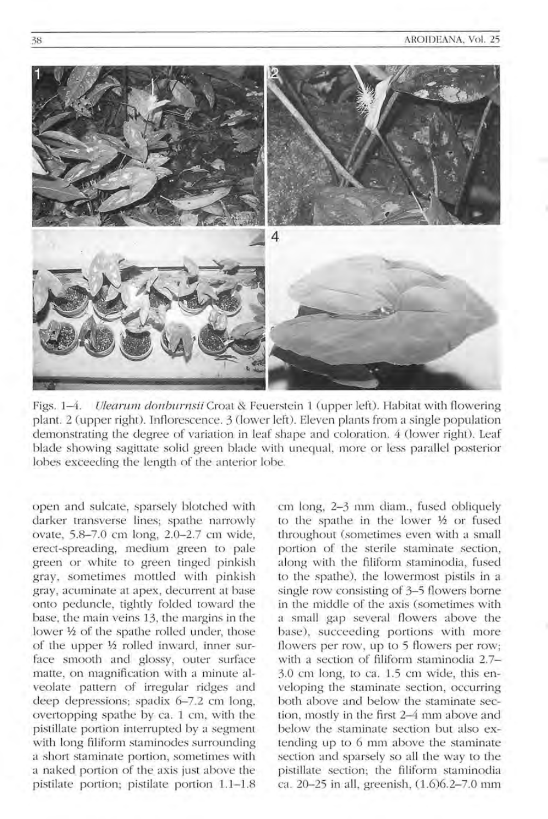

Figs. 1-4. *Ulearum donburnsii* Croat & Feuerstein 1 (upper left). Habitat with flowering plant. 2 (upper right). Inflorescence. 3 (lower left). Eleven plants from a single population demonstrating the degree of variation in leaf shape and coloration. 4 (lower right). Leaf blade showing sagittate solid green blade with unequal, more or less parallel posterior lobes exceeding the length of the anterior lobe.

open and sulcate, sparsely blotched with darker transverse lines; spathe narrowly ovate, 5.8-7.0 cm long, 2.0-2.7 cm wide, e rect-spreading, medium green to pale green or white to green tinged pinkish gray, sometimes mottled with pinkish gray, acuminate at apex, decurrent at base onto peduncle, tightly folded toward the base, the main veins 13, the margins in the lower 1/2 of the spathe rolled under, those of the upper  $\frac{1}{2}$  rolled inward, inner surface smooth and glossy, outer surface matte, on magnification with a minute alveolate pattern of irregular ridges and deep depressions; spadix  $6-7.2$  cm long, overtopping spathe by ca. 1 cm, with the pistillate portion interrupted by a segment with long filiform staminodes surrounding a short staminate portion, sometimes with a naked portion of the axis just above the pistilate portion; pistilate portion 1.1-1.8 cm long, 2-3 mm diam., fused obliquely to the spathe in the lower  $\frac{1}{2}$  or fused throughout (sometimes even with a small portion of the sterile staminate section, along with the filiform staminodia, fused to the spathe), the lowermost pistils in a single row consisting of 3–5 flowers borne in the middle of the axis (sometimes with a small gap several flowers above the base), succeeding portions with more flowers per row, up to 5 flowers per row; with a section of filiform staminodia 2.7- $3.0$  cm long, to ca.  $1.5$  cm wide, this enveloping the staminate section, occurring both above and below the staminate section, mostly in the first 2-4 mm above and below the staminate section but also extending up to 6 mm above the staminate section and sparsely so all the way to the pistillate section; the filiform staminodia ca. 20-25 in all, greenish,  $(1.6)6.2-7.0$  mm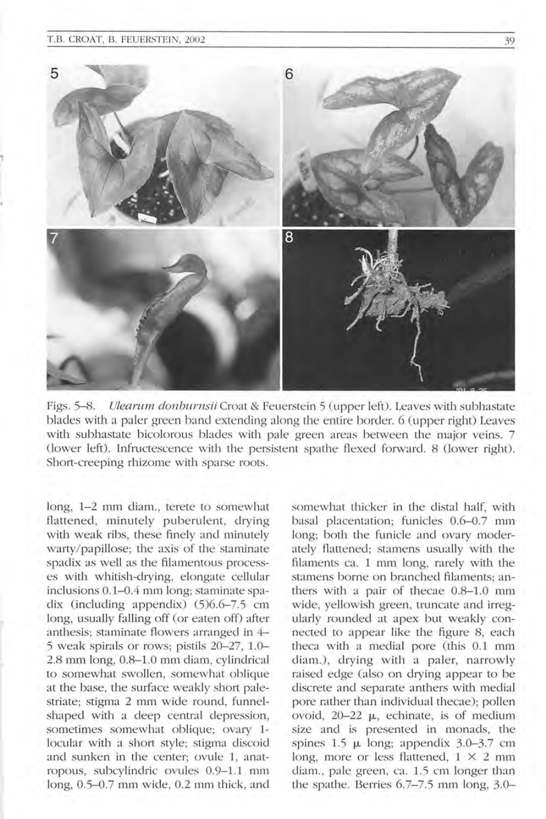#### T.B. CROAT, B. FEUERSTEIN, 2002 39



Figs. 5-8. Ulearum donburnsii Croat & Feuerstein 5 (upper left). Leaves with subhastate blades with a paler green band extending along the entire border. 6 (upper right) Leaves with subhastate bicolorous blades with pale green areas between the major veins. 7 (lower left). Infructescence with the persistent spathe flexed forward. 8 (lower right). Short-creeping rhizome with sparse roots.

long, 1-2 mm diam., terete to somewhat flattened, minutely puberulent, drying with weak ribs, these finely and minutely warty/papillose; the axis of the staminate spadix as well as the filamentous processes with whitish-drying, elongate cellular inclusions 0.1-0.4 mm long; staminate spadix (including appendix)  $(5)$ 6.6-7.5 cm long, usually falling off (or eaten off) after anthesis; staminate flowers arranged in  $4-$ 5 weak spirals or rows; pistils 20-27, l.0- 2.8 mm long, 0.8-1.0 mm diam, cylindrical to somewhat swollen, somewhat oblique at the base, the surface weakly short palestriate; stigma 2 mm wide round, funnelshaped with a deep central depression, sometimes somewhat oblique; ovary 1locular with a short style; stigma discoid and sunken in the center; ovule 1, anatropous, subcylindric ovules 0.9-1.1 mm long,  $0.5-0.7$  mm wide,  $0.2$  mm thick, and

somewhat thicker in the distal half, with basal placentation; funicles 0.6-0.7 mm long; both the funicle and ovary moderately flattened; stamens usually with the filaments ca. 1 mm long, rarely with the stamens borne on branched filaments; anthers with a pair of thecae 0.8-1.0 mm wide, yellowish green, truncate and irregularly rounded at apex but weakly connected to appear like the figure 8, each theca with a medial pore (this 0.1 mm diam.), drying with a paler, narrowly raised edge (also on drying appear to be discrete and separate anthers with medial pore rather than individual thecae); pollen ovoid,  $20-22$   $\mu$ , echinate, is of medium size and is presented in monads, the spines  $1.5 \mu$  long; appendix  $3.0-3.7 \text{ cm}$ long, more or less flattened,  $1 \times 2$  mm diam., pale green, ca. 1.5 cm longer than the spathe. Berries 6.7–7.5 mm long, 3.0–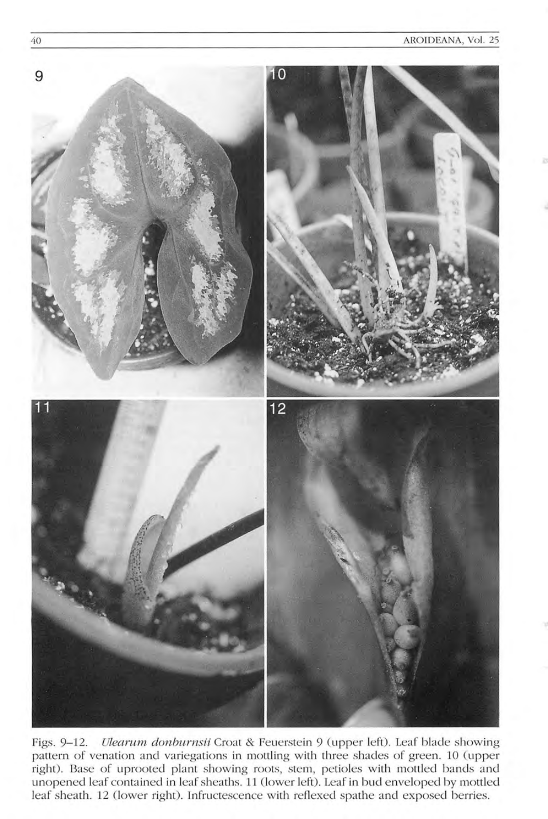

Figs. 9-12. *Ulearum donburnsii* Croat & Feuerstein 9 (upper left). Leaf blade showing pattern of venation and variegations in mottling with three shades of green. 10 (upper right). Base of uprooted plant showing roots, stem, petioles with mottled bands and unopened leaf contained in leaf sheaths. 11 (lower left). Leaf in bud enveloped by mottled leaf sheath. 12 (lower right). Infructescence with reflexed spathe and exposed berries.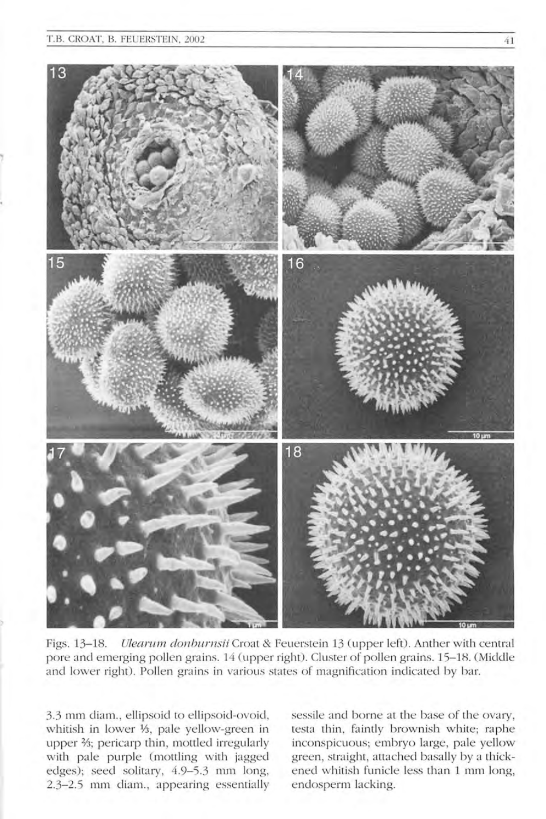

Figs. 13–18. *Ulearum donburnsii* Croat & Feuerstein 13 (upper left). Anther with central pore and emerging pollen grains. 14 (upper right). Cluster of pollen grains. 15–18. (Middle and lower right). Pollen grains in various states of magnification indicated by bar.

3.3 mm diam., ellipsoid to ellipsoid-ovoid, whitish in lower 1/3, pale yellow-green in upper <sup>2</sup>/<sub>3</sub>; pericarp thin, mottled irregularly with pale purple (mottling with jagged edges); seed solitary, 4.9-5.3 mm long, 2.3-2.5 mm diam., appearing essentially sessile and borne at the base of the ovary, testa thin, faintly brownish white; raphe inconspicuous; embryo large, pale yellow green, straight, attached basally by a thickened whitish funicle less than 1 mm long, endosperm lacking.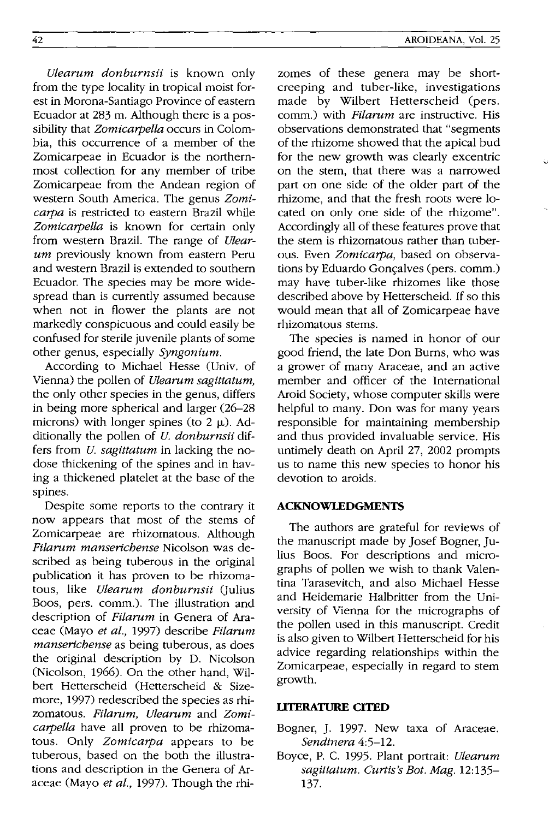*Ulearum donburnsii* is known only from the type locality in tropical moist forest in Morona-Santiago Province of eastern Ecuador at 283 m. Although there is a possibility that *Zomicarpella* occurs in Colombia, this occurrence of a member of the Zomicarpeae in Ecuador is the northernmost collection for any member of tribe Zomicarpeae from the Andean region of western South America. The genus *Zomicarpa* is restricted to eastern Brazil while *Zomicarpella* is known for certain only from western Brazil. The range of *Ulearum* previously known from eastern Peru and western Brazil is extended to southern Ecuador. The species may be more widespread than is currently assumed because when not in flower the plants are not markedly conspicuous and could easily be confused for sterile juvenile plants of some other genus, especially *Syngonium.* 

According to Michael Hesse (Univ. of Vienna) the pollen of *utearum sagittatum,*  the only other species in the genus, differs in being more spherical and larger (26-28 microns) with longer spines (to  $2 \mu$ ). Additionally the pollen of *U. donburnsii* differs from *U. sagittatum* in lacking the nodose thickening of the spines and in having a thickened platelet at the base of the spines.

Despite some reports to the contrary it now appears that most of the stems of Zomicarpeae are rhizomatous. Although *Filarum manserichense* Nicolson was described as being tuberous in the original publication it has proven to be rhizomatous, like *Ulearum donburnsii* Qulius Boos, pers. comm.). The illustration and description of *Filarum* in Genera of Araceae (Mayo *et at.,* 1997) describe *Fitarum manserichense* as being tuberous, as does the original description by D. Nicolson (Nicolson, 1966). On the other hand, Wilbert Hetterscheid (Hetterscheid & Sizemore, 1997) redescribed the species as rhizomatous. *Filarum, Ulearum* and *Zomicarpella* have all proven to be rhizomatous. Only *Zomicarpa* appears to be tuberous, based on the both the illustrations and description in the Genera of Araceae (Mayo *et al.,* 1997). Though the rhizomes of these genera may be shortcreeping and tuber-like, investigations made by Wilbert Hetterscheid (pers. comm.) with *Filarum* are instructive. His observations demonstrated that "segments of the rhizome showed that the apical bud for the new growth was clearly excentric on the stem, that there was a narrowed part on one side of the older part of the rhizome, and that the fresh roots were located on only one side of the rhizome". Accordingly all of these features prove that the stem is rhizomatous rather than tuberous. Even *Zomicarpa,* based on observations by Eduardo Gonçalves (pers. comm.) may have tuber-like rhizomes like those described above by Hetterscheid. If so this would mean that all of Zomicarpeae have rhizomatous stems.

The species is named in honor of our good friend, the late Don Burns, who was a grower of many Araceae, and an active member and officer of the International Aroid Society, whose computer skills were helpful to many. Don was for many years responsible for maintaining membership and thus provided invaluable service. His untimely death on April 27, 2002 prompts us to name this new species to honor his devotion to aroids.

### **ACKNOWLEDGMENTS**

The authors are grateful for reviews of the manuscript made by Josef Bogner, Julius Boos. For descriptions and micrographs of pollen we wish to thank Valentina Tarasevitch, and also Michael Hesse and Heidemarie Halbritter from the University of Vienna for the micrographs of the pollen used in this manuscript. Credit is also given to Wilbert Hetterscheid for his advice regarding relationships within the Zomicarpeae, especially in regard to stem growth.

#### **LITERATURE CITED**

- Bogner, J. 1997. New taxa of Araceae. *Sendtnera 4:5-12.*
- Boyce, P. C. 1995. Plant portrait: *Ulearum sagittatum. Curtis's Bot. Mag. 12:135-* 137.